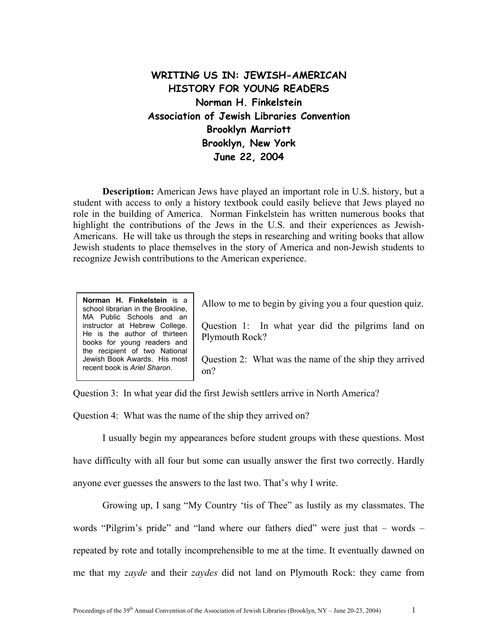## **WRITING US IN: JEWISH-AMERICAN HISTORY FOR YOUNG READERS Norman H. Finkelstein Association of Jewish Libraries Convention Brooklyn Marriott Brooklyn, New York June 22, 2004**

**Description:** American Jews have played an important role in U.S. history, but a student with access to only a history textbook could easily believe that Jews played no role in the building of America. Norman Finkelstein has written numerous books that highlight the contributions of the Jews in the U.S. and their experiences as Jewish-Americans. He will take us through the steps in researching and writing books that allow Jewish students to place themselves in the story of America and non-Jewish students to recognize Jewish contributions to the American experience.

**Norman H. Finkelstein** is a school librarian in the Brookline, MA Public Schools and an instructor at Hebrew College. He is the author of thirteen books for young readers and the recipient of two National Jewish Book Awards. His most recent book is *Ariel Sh*

Allow to me to begin by giving you a four question quiz.

Question 1: In what year did the pilgrims land on Plymouth Rock?

Question 2: What was the name of the ship they arrived on? *aron*.

Question 3: In what year did the first Jewish settlers arrive in North America?

Question 4: What was the name of the ship they arrived on?

I usually begin my appearances before student groups with these questions. Most have difficulty with all four but some can usually answer the first two correctly. Hardly anyone ever guesses the answers to the last two. That's why I write.

Growing up, I sang "My Country 'tis of Thee" as lustily as my classmates. The words "Pilgrim's pride" and "land where our fathers died" were just that – words – repeated by rote and totally incomprehensible to me at the time. It eventually dawned on me that my *zayde* and their *zaydes* did not land on Plymouth Rock: they came from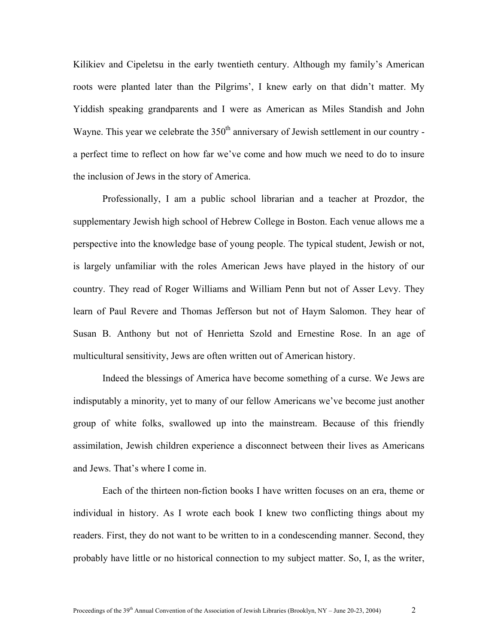Kilikiev and Cipeletsu in the early twentieth century. Although my family's American roots were planted later than the Pilgrims', I knew early on that didn't matter. My Yiddish speaking grandparents and I were as American as Miles Standish and John Wayne. This year we celebrate the  $350<sup>th</sup>$  anniversary of Jewish settlement in our country a perfect time to reflect on how far we've come and how much we need to do to insure the inclusion of Jews in the story of America.

Professionally, I am a public school librarian and a teacher at Prozdor, the supplementary Jewish high school of Hebrew College in Boston. Each venue allows me a perspective into the knowledge base of young people. The typical student, Jewish or not, is largely unfamiliar with the roles American Jews have played in the history of our country. They read of Roger Williams and William Penn but not of Asser Levy. They learn of Paul Revere and Thomas Jefferson but not of Haym Salomon. They hear of Susan B. Anthony but not of Henrietta Szold and Ernestine Rose. In an age of multicultural sensitivity, Jews are often written out of American history.

Indeed the blessings of America have become something of a curse. We Jews are indisputably a minority, yet to many of our fellow Americans we've become just another group of white folks, swallowed up into the mainstream. Because of this friendly assimilation, Jewish children experience a disconnect between their lives as Americans and Jews. That's where I come in.

Each of the thirteen non-fiction books I have written focuses on an era, theme or individual in history. As I wrote each book I knew two conflicting things about my readers. First, they do not want to be written to in a condescending manner. Second, they probably have little or no historical connection to my subject matter. So, I, as the writer,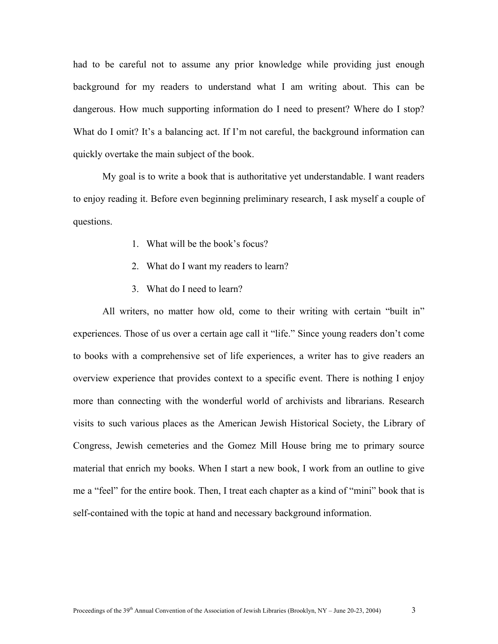had to be careful not to assume any prior knowledge while providing just enough background for my readers to understand what I am writing about. This can be dangerous. How much supporting information do I need to present? Where do I stop? What do I omit? It's a balancing act. If I'm not careful, the background information can quickly overtake the main subject of the book.

My goal is to write a book that is authoritative yet understandable. I want readers to enjoy reading it. Before even beginning preliminary research, I ask myself a couple of questions.

- 1. What will be the book's focus?
- 2. What do I want my readers to learn?
- 3. What do I need to learn?

All writers, no matter how old, come to their writing with certain "built in" experiences. Those of us over a certain age call it "life." Since young readers don't come to books with a comprehensive set of life experiences, a writer has to give readers an overview experience that provides context to a specific event. There is nothing I enjoy more than connecting with the wonderful world of archivists and librarians. Research visits to such various places as the American Jewish Historical Society, the Library of Congress, Jewish cemeteries and the Gomez Mill House bring me to primary source material that enrich my books. When I start a new book, I work from an outline to give me a "feel" for the entire book. Then, I treat each chapter as a kind of "mini" book that is self-contained with the topic at hand and necessary background information.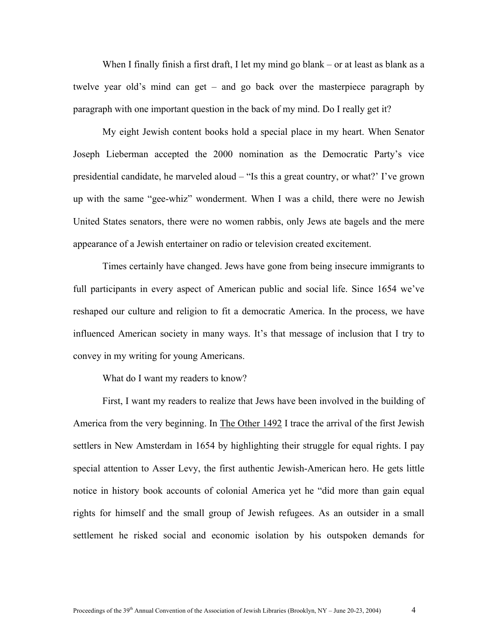When I finally finish a first draft, I let my mind go blank – or at least as blank as a twelve year old's mind can get – and go back over the masterpiece paragraph by paragraph with one important question in the back of my mind. Do I really get it?

My eight Jewish content books hold a special place in my heart. When Senator Joseph Lieberman accepted the 2000 nomination as the Democratic Party's vice presidential candidate, he marveled aloud – "Is this a great country, or what?' I've grown up with the same "gee-whiz" wonderment. When I was a child, there were no Jewish United States senators, there were no women rabbis, only Jews ate bagels and the mere appearance of a Jewish entertainer on radio or television created excitement.

Times certainly have changed. Jews have gone from being insecure immigrants to full participants in every aspect of American public and social life. Since 1654 we've reshaped our culture and religion to fit a democratic America. In the process, we have influenced American society in many ways. It's that message of inclusion that I try to convey in my writing for young Americans.

What do I want my readers to know?

First, I want my readers to realize that Jews have been involved in the building of America from the very beginning. In The Other 1492 I trace the arrival of the first Jewish settlers in New Amsterdam in 1654 by highlighting their struggle for equal rights. I pay special attention to Asser Levy, the first authentic Jewish-American hero. He gets little notice in history book accounts of colonial America yet he "did more than gain equal rights for himself and the small group of Jewish refugees. As an outsider in a small settlement he risked social and economic isolation by his outspoken demands for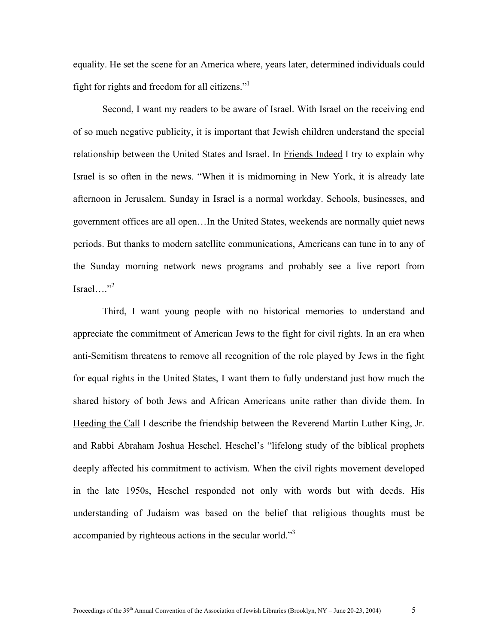equality. He set the scene for an America where, years later, determined individuals could fight for rights and freedom for all citizens.["1](#page-6-0)

Second, I want my readers to be aware of Israel. With Israel on the receiving end of so much negative publicity, it is important that Jewish children understand the special relationship between the United States and Israel. In Friends Indeed I try to explain why Israel is so often in the news. "When it is midmorning in New York, it is already late afternoon in Jerusalem. Sunday in Israel is a normal workday. Schools, businesses, and government offices are all open…In the United States, weekends are normally quiet news periods. But thanks to modern satellite communications, Americans can tune in to any of the Sunday morning network news programs and probably see a live report from Israel…." $^{32}$ 

Third, I want young people with no historical memories to understand and appreciate the commitment of American Jews to the fight for civil rights. In an era when anti-Semitism threatens to remove all recognition of the role played by Jews in the fight for equal rights in the United States, I want them to fully understand just how much the shared history of both Jews and African Americans unite rather than divide them. In Heeding the Call I describe the friendship between the Reverend Martin Luther King, Jr. and Rabbi Abraham Joshua Heschel. Heschel's "lifelong study of the biblical prophets deeply affected his commitment to activism. When the civil rights movement developed in the late 1950s, Heschel responded not only with words but with deeds. His understanding of Judaism was based on the belief that religious thoughts must be accompanied by righteous actions in the secular world."<sup>3</sup>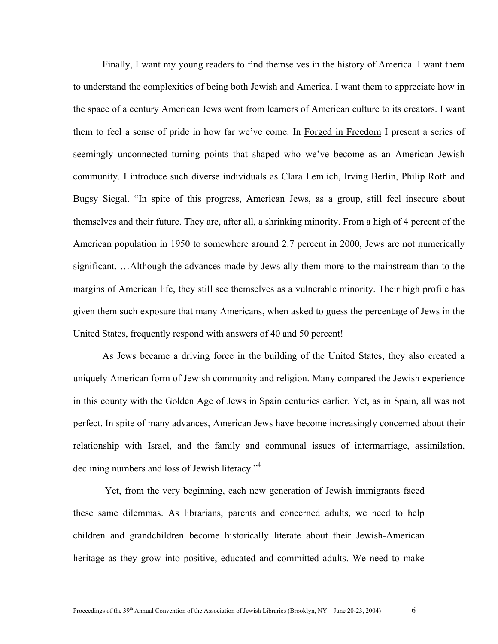Finally, I want my young readers to find themselves in the history of America. I want them to understand the complexities of being both Jewish and America. I want them to appreciate how in the space of a century American Jews went from learners of American culture to its creators. I want them to feel a sense of pride in how far we've come. In Forged in Freedom I present a series of seemingly unconnected turning points that shaped who we've become as an American Jewish community. I introduce such diverse individuals as Clara Lemlich, Irving Berlin, Philip Roth and Bugsy Siegal. "In spite of this progress, American Jews, as a group, still feel insecure about themselves and their future. They are, after all, a shrinking minority. From a high of 4 percent of the American population in 1950 to somewhere around 2.7 percent in 2000, Jews are not numerically significant. …Although the advances made by Jews ally them more to the mainstream than to the margins of American life, they still see themselves as a vulnerable minority. Their high profile has given them such exposure that many Americans, when asked to guess the percentage of Jews in the United States, frequently respond with answers of 40 and 50 percent!

As Jews became a driving force in the building of the United States, they also created a uniquely American form of Jewish community and religion. Many compared the Jewish experience in this county with the Golden Age of Jews in Spain centuries earlier. Yet, as in Spain, all was not perfect. In spite of many advances, American Jews have become increasingly concerned about their relationship with Israel, and the family and communal issues of intermarriage, assimilation, declining numbers and loss of Jewish literacy."<sup>[4](#page-6-3)</sup>

Yet, from the very beginning, each new generation of Jewish immigrants faced these same dilemmas. As librarians, parents and concerned adults, we need to help children and grandchildren become historically literate about their Jewish-American heritage as they grow into positive, educated and committed adults. We need to make